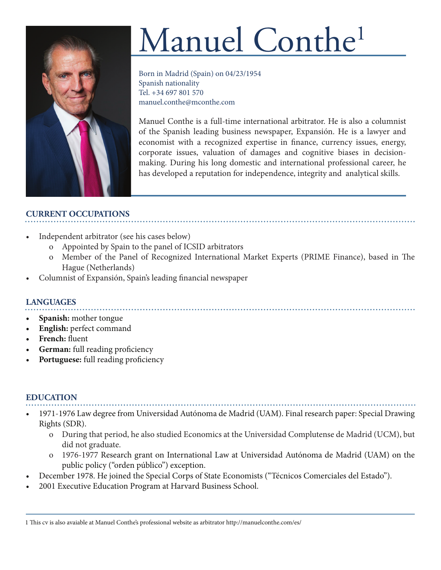

# Manuel Conthe<sup>1</sup>

Born in Madrid (Spain) on 04/23/1954 Spanish nationality Tel. +34 697 801 570 manuel.conthe@mconthe.com

Manuel Conthe is a full-time international arbitrator. He is also a columnist of the Spanish leading business newspaper, Expansión. He is a lawyer and economist with a recognized expertise in finance, currency issues, energy, corporate issues, valuation of damages and cognitive biases in decisionmaking. During his long domestic and international professional career, he has developed a reputation for independence, integrity and analytical skills.

## **CURRENT OCCUPATIONS**

- Independent arbitrator (see his cases below)
	- o Appointed by Spain to the panel of ICSID arbitrators
	- o Member of the Panel of Recognized International Market Experts (PRIME Finance), based in The Hague (Netherlands)
- Columnist of Expansión, Spain's leading financial newspaper

## **LANGUAGES**

- **• Spanish:** mother tongue
- **• English:** perfect command
- **• French:** fluent
- **• German:** full reading proficiency
- **• Portuguese:** full reading proficiency

#### **EDUCATION**

- 1971-1976 Law degree from Universidad Autónoma de Madrid (UAM). Final research paper: Special Drawing Rights (SDR).
	- o During that period, he also studied Economics at the Universidad Complutense de Madrid (UCM), but did not graduate.
	- o 1976-1977 Research grant on International Law at Universidad Autónoma de Madrid (UAM) on the public policy ("orden público") exception.
- December 1978. He joined the Special Corps of State Economists ("Técnicos Comerciales del Estado").
- 2001 Executive Education Program at Harvard Business School.

1 This cv is also avaiable at Manuel Conthe's professional website as arbitrator http://manuelconthe.com/es/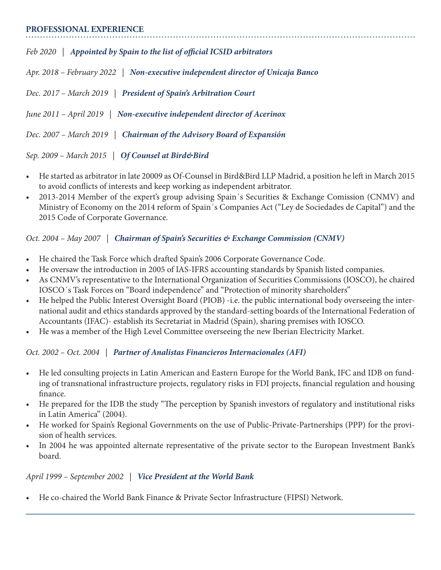#### **PROFESSIONAL EXPERIENCE**

*Feb 2020 | Appointed by Spain to the list of official ICSID arbitrators Apr. 2018 – February 2022 | Non-executive independent director of Unicaja Banco Dec. 2017 – March 2019 | President of Spain's Arbitration Court June 2011 – April 2019 | Non-executive independent director of Acerinox Dec. 2007 – March 2019 | Chairman of the Advisory Board of Expansión Sep. 2009 – March 2015 | Of Counsel at Bird&Bird*

- He started as arbitrator in late 20009 as Of-Counsel in Bird&Bird LLP Madrid, a position he left in March 2015 to avoid conflicts of interests and keep working as independent arbitrator.
- 2013-2014 Member of the expert's group advising Spain´s Securities & Exchange Comission (CNMV) and Ministry of Economy on the 2014 reform of Spain´s Companies Act ("Ley de Sociedades de Capital") and the 2015 Code of Corporate Governance.

#### *Oct. 2004 – May 2007 | Chairman of Spain's Securities & Exchange Commission (CNMV)*

- He chaired the Task Force which drafted Spain's 2006 Corporate Governance Code.
- He oversaw the introduction in 2005 of IAS-IFRS accounting standards by Spanish listed companies.
- As CNMV's representative to the International Organization of Securities Commissions (IOSCO), he chaired IOSCO´s Task Forces on "Board independence" and "Protection of minority shareholders"
- He helped the Public Interest Oversight Board (PIOB) -i.e. the public international body overseeing the international audit and ethics standards approved by the standard-setting boards of the International Federation of Accountants (IFAC)- establish its Secretariat in Madrid (Spain), sharing premises with IOSCO.
- He was a member of the High Level Committee overseeing the new Iberian Electricity Market.

## *Oct. 2002 – Oct. 2004 | Partner of Analistas Financieros Internacionales (AFI)*

- He led consulting projects in Latin American and Eastern Europe for the World Bank, IFC and IDB on funding of transnational infrastructure projects, regulatory risks in FDI projects, financial regulation and housing finance.
- He prepared for the IDB the study "The perception by Spanish investors of regulatory and institutional risks in Latin America" (2004).
- He worked for Spain's Regional Governments on the use of Public-Private-Partnerships (PPP) for the provision of health services.
- In 2004 he was appointed alternate representative of the private sector to the European Investment Bank's board.

#### *April 1999 – September 2002 | Vice President at the World Bank*

• He co-chaired the World Bank Finance & Private Sector Infrastructure (FIPSI) Network.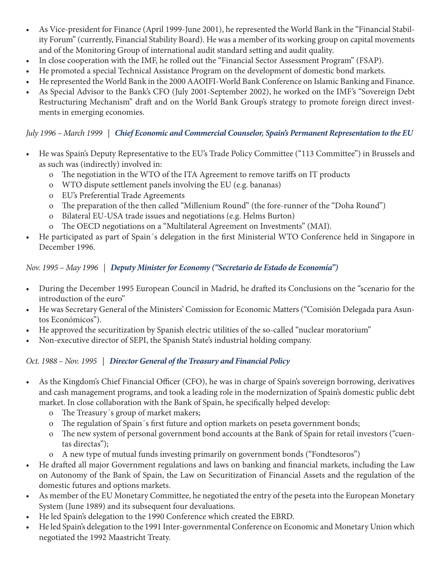- As Vice-president for Finance (April 1999-June 2001), he represented the World Bank in the "Financial Stability Forum" (currently, Financial Stability Board). He was a member of its working group on capital movements and of the Monitoring Group of international audit standard setting and audit quality.
- In close cooperation with the IMF, he rolled out the "Financial Sector Assessment Program" (FSAP).
- He promoted a special Technical Assistance Program on the development of domestic bond markets.
- He represented the World Bank in the 2000 AAOIFI-World Bank Conference on Islamic Banking and Finance.
- As Special Advisor to the Bank's CFO (July 2001-September 2002), he worked on the IMF's "Sovereign Debt Restructuring Mechanism" draft and on the World Bank Group's strategy to promote foreign direct investments in emerging economies.

## *July 1996 – March 1999 | Chief Economic and Commercial Counselor, Spain's Permanent Representation to the EU*

- He was Spain's Deputy Representative to the EU's Trade Policy Committee ("113 Committee") in Brussels and as such was (indirectly) involved in:
	- o The negotiation in the WTO of the ITA Agreement to remove tariffs on IT products
	- o WTO dispute settlement panels involving the EU (e.g. bananas)
	- o EU's Preferential Trade Agreements
	- o The preparation of the then called "Millenium Round" (the fore-runner of the "Doha Round")
	- o Bilateral EU-USA trade issues and negotiations (e.g. Helms Burton)
	- o The OECD negotiations on a "Multilateral Agreement on Investments" (MAI).
- He participated as part of Spain´s delegation in the first Ministerial WTO Conference held in Singapore in December 1996.

## *Nov. 1995 – May 1996 | Deputy Minister for Economy ("Secretario de Estado de Economía")*

- During the December 1995 European Council in Madrid, he drafted its Conclusions on the "scenario for the introduction of the euro"
- He was Secretary General of the Ministers' Comission for Economic Matters ("Comisión Delegada para Asuntos Económicos").
- He approved the securitization by Spanish electric utilities of the so-called "nuclear moratorium"
- Non-executive director of SEPI, the Spanish State's industrial holding company.

## *Oct. 1988 – Nov. 1995 | Director General of the Treasury and Financial Policy*

- As the Kingdom's Chief Financial Officer (CFO), he was in charge of Spain's sovereign borrowing, derivatives and cash management programs, and took a leading role in the modernization of Spain's domestic public debt market. In close collaboration with the Bank of Spain, he specifically helped develop:
	- o The Treasury´s group of market makers;
	- o The regulation of Spain´s first future and option markets on peseta government bonds;
	- o The new system of personal government bond accounts at the Bank of Spain for retail investors ("cuentas directas");
	- o A new type of mutual funds investing primarily on government bonds ("Fondtesoros")
- He drafted all major Government regulations and laws on banking and financial markets, including the Law on Autonomy of the Bank of Spain, the Law on Securitization of Financial Assets and the regulation of the domestic futures and options markets.
- As member of the EU Monetary Committee, he negotiated the entry of the peseta into the European Monetary System (June 1989) and its subsequent four devaluations.
- He led Spain's delegation to the 1990 Conference which created the EBRD.
- He led Spain's delegation to the 1991 Inter-governmental Conference on Economic and Monetary Union which negotiated the 1992 Maastricht Treaty.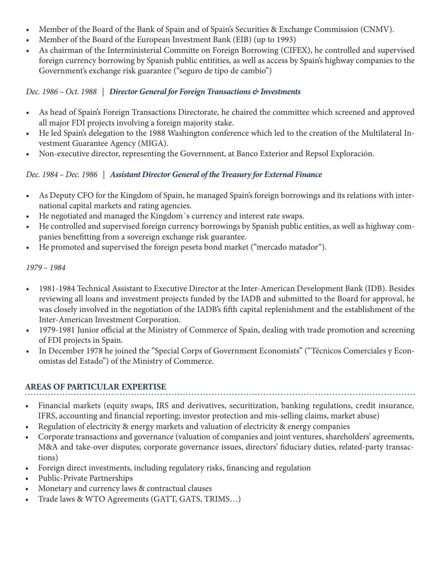- Member of the Board of the Bank of Spain and of Spain's Securities & Exchange Commission (CNMV).
- Member of the Board of the European Investment Bank (EIB) (up to 1993)
- As chairman of the Interministerial Committe on Foreign Borrowing (CIFEX), he controlled and supervised foreign currency borrowing by Spanish public entitities, as well as access by Spain's highway companies to the Government's exchange risk guarantee ("seguro de tipo de cambio")

*Dec. 1986 – Oct. 1988 | Director General for Foreign Transactions & Investments* 

- As head of Spain's Foreign Transactions Directorate, he chaired the committee which screened and approved all major FDI projects involving a foreign majority stake.
- He led Spain's delegation to the 1988 Washington conference which led to the creation of the Multilateral Investment Guarantee Agency (MIGA).
- Non-executive director, representing the Government, at Banco Exterior and Repsol Exploración.

## *Dec. 1984 – Dec. 1986 | Assistant Director General of the Treasury for External Finance*

- As Deputy CFO for the Kingdom of Spain, he managed Spain's foreign borrowings and its relations with international capital markets and rating agencies.
- He negotiated and managed the Kingdom´s currency and interest rate swaps.
- He controlled and supervised foreign currency borrowings by Spanish public entities, as well as highway companies benefitting from a sovereign exchange risk guarantee.
- He promoted and supervised the foreign peseta bond market ("mercado matador").

*1979 – 1984*

- 1981-1984 Technical Assistant to Executive Director at the Inter-American Development Bank (IDB). Besides reviewing all loans and investment projects funded by the IADB and submitted to the Board for approval, he was closely involved in the negotiation of the IADB's fifth capital replenishment and the establishment of the Inter-American Investment Corporation.
- 1979-1981 Junior official at the Ministry of Commerce of Spain, dealing with trade promotion and screening of FDI projects in Spain.
- In December 1978 he joined the "Special Corps of Government Economists" ("Técnicos Comerciales y Economistas del Estado") of the Ministry of Commerce.

## **AREAS OF PARTICULAR EXPERTISE**

- Financial markets (equity swaps, IRS and derivatives, securitization, banking regulations, credit insurance, IFRS, accounting and financial reporting; investor protection and mis-selling claims, market abuse)
- Regulation of electricity & energy markets and valuation of electricity & energy companies
- Corporate transactions and governance (valuation of companies and joint ventures, shareholders' agreements, M&A and take-over disputes; corporate governance issues, directors' fiduciary duties, related-party transactions)
- Foreign direct investments, including regulatory risks, financing and regulation
- Public-Private Partnerships
- Monetary and currency laws & contractual clauses
- Trade laws & WTO Agreements (GATT, GATS, TRIMS…)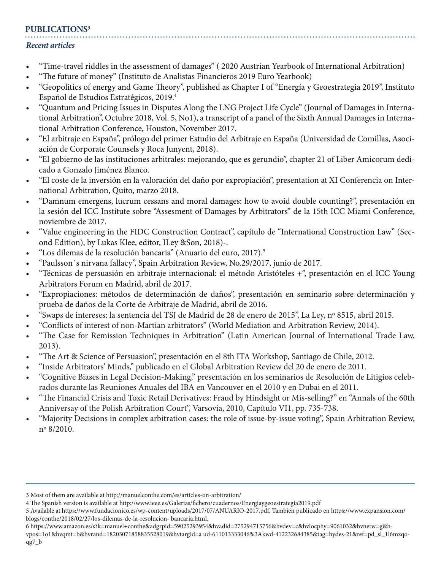## **PUBLICATIONS3**

#### *Recent articles*

- "Time-travel riddles in the assessment of damages" ( 2020 Austrian Yearbook of International Arbitration)
- "The future of money" (Instituto de Analistas Financieros 2019 Euro Yearbook)
- "Geopolitics of energy and Game Theory", published as Chapter I of "Energía y Geoestrategia 2019", Instituto Español de Estudios Estratégicos, 2019.4
- "Quantum and Pricing Issues in Disputes Along the LNG Project Life Cycle" (Journal of Damages in International Arbitration", Octubre 2018, Vol. 5, No1), a transcript of a panel of the Sixth Annual Damages in International Arbitration Conference, Houston, November 2017.
- "El arbitraje en España", prólogo del primer Estudio del Arbitraje en España (Universidad de Comillas, Asociación de Corporate Counsels y Roca Junyent, 2018).
- "El gobierno de las instituciones arbitrales: mejorando, que es gerundio", chapter 21 of Liber Amicorum dedicado a Gonzalo Jiménez Blanco.
- "El coste de la inversión en la valoración del daño por expropiación", presentation at XI Conferencia on International Arbitration, Quito, marzo 2018.
- "Damnum emergens, lucrum cessans and moral damages: how to avoid double counting?", presentación en la sesión del ICC Institute sobre "Assesment of Damages by Arbitrators" de la 15th ICC Miami Conference, noviembre de 2017.
- "Value engineering in the FIDC Construction Contract", capítulo de "International Construction Law" (Second Edition), by Lukas Klee, editor, ILey &Son, 2018)-.
- "Los dilemas de la resolución bancaria" (Anuario del euro, 2017).5
- "Paulsson´s nirvana fallacy", Spain Arbitration Review, No.29/2017, junio de 2017.
- "Técnicas de persuasión en arbitraje internacional: el método Aristóteles +", presentación en el ICC Young Arbitrators Forum en Madrid, abril de 2017.
- "Expropiaciones: métodos de determinación de daños", presentación en seminario sobre determinación y prueba de daños de la Corte de Arbitraje de Madrid, abril de 2016.
- "Swaps de intereses: la sentencia del TSJ de Madrid de 28 de enero de 2015", La Ley, nº 8515, abril 2015.
- "Conflicts of interest of non-Martian arbitrators" (World Mediation and Arbitration Review, 2014).
- "The Case for Remission Techniques in Arbitration" (Latin American Journal of International Trade Law, 2013).
- "The Art & Science of Persuasion", presentación en el 8th ITA Workshop, Santiago de Chile, 2012.
- "Inside Arbitrators' Minds," publicado en el Global Arbitration Review del 20 de enero de 2011.
- "Cognitive Biases in Legal Decision-Making," presentación en los seminarios de Resolución de Litigios celebrados durante las Reuniones Anuales del IBA en Vancouver en el 2010 y en Dubai en el 2011.
- "The Financial Crisis and Toxic Retail Derivatives: Fraud by Hindsight or Mis-selling?" en "Annals of the 60th Anniversay of the Polish Arbitration Court", Varsovia, 2010, Capítulo VI1, pp. 735-738.
- "Majority Decisions in complex arbitration cases: the role of issue-by-issue voting", Spain Arbitration Review, nº 8/2010.

<sup>3</sup> Most of them are available at http://manuelconthe.com/es/articles-on-arbitration/

<sup>4</sup> The Spanish version is available at http://www.ieee.es/Galerias/fichero/cuadernos/Energiaygeoestrategia2019.pdf

<sup>5</sup> Available at https://www.fundacionico.es/wp-content/uploads/2017/07/ANUARIO-2017.pdf. También publicado en https://www.expansion.com/ blogs/conthe/2018/02/27/los-dilemas-de-la-resolucion- bancaria.html.

<sup>6</sup> https://www.amazon.es/s?k=manuel+conthe&adgrpid=59025293954&hvadid=275294715756&hvdev=c&hvlocphy=9061032&hvnetw=g&h-

vpos=1o1&hvqmt=b&hvrand=18203071858835528019&hvtargid=a ud-611013333046%3Akwd-412232684385&tag=hydes-21&ref=pd\_sl\_1l6mzqoqg7\_b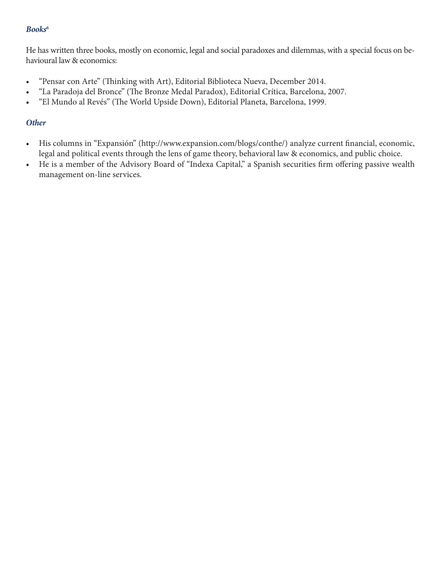#### *Books6*

He has written three books, mostly on economic, legal and social paradoxes and dilemmas, with a special focus on behavioural law & economics:

- "Pensar con Arte" (Thinking with Art), Editorial Biblioteca Nueva, December 2014.
- "La Paradoja del Bronce" (The Bronze Medal Paradox), Editorial Crítica, Barcelona, 2007.
- "El Mundo al Revés" (The World Upside Down), Editorial Planeta, Barcelona, 1999.

#### *Other*

- His columns in "Expansión" (http://www.expansion.com/blogs/conthe/) analyze current financial, economic, legal and political events through the lens of game theory, behavioral law & economics, and public choice.
- He is a member of the Advisory Board of "Indexa Capital," a Spanish securities firm offering passive wealth management on-line services.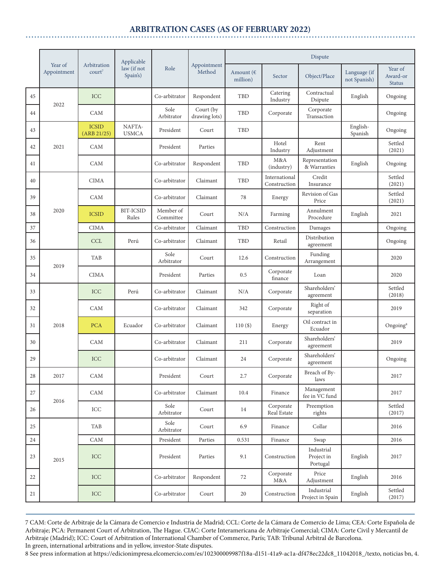#### **ARBITRATION CASES (AS OF FEBRUARY 2022)**

|    | Year of<br>Appointment | Arbitration<br>court <sup>7</sup> | Applicable<br>law (if not<br>Spain's) | Role                   | Appointment<br>Method      | Dispute               |                               |                                      |                              |                                      |  |
|----|------------------------|-----------------------------------|---------------------------------------|------------------------|----------------------------|-----------------------|-------------------------------|--------------------------------------|------------------------------|--------------------------------------|--|
|    |                        |                                   |                                       |                        |                            | Amount (€<br>million) | Sector                        | Object/Place                         | Language (if<br>not Spanish) | Year of<br>Award-or<br><b>Status</b> |  |
| 45 | 2022                   | <b>ICC</b>                        |                                       | Co-arbitrator          | Respondent                 | TBD                   | Catering<br>Industry          | Contractual<br>Dsipute               | English                      | Ongoing                              |  |
| 44 |                        | <b>CAM</b>                        |                                       | Sole<br>Arbitrator     | Court (by<br>drawing lots) | TBD                   | Corporate                     | Corporate<br>Transaction             |                              | Ongoing                              |  |
| 43 |                        | <b>ICSID</b><br>(ARB 21/25)       | NAFTA-<br><b>USMCA</b>                | President              | Court                      | TBD                   |                               |                                      | English-<br>Spanish          | Ongoing                              |  |
| 42 | 2021                   | CAM                               |                                       | President              | Parties                    |                       | Hotel<br>Industry             | Rent<br>Adjustment                   |                              | Settled<br>(2021)                    |  |
| 41 |                        | <b>CAM</b>                        |                                       | Co-arbitrator          | Respondent                 | TBD                   | M&A<br>(industry)             | Representation<br>& Warranties       | English                      | Ongoing                              |  |
| 40 |                        | <b>CIMA</b>                       |                                       | Co-arbitrator          | Claimant                   | TBD                   | International<br>Construction | Credit<br>Insurance                  |                              | Settled<br>(2021)                    |  |
| 39 |                        | <b>CAM</b>                        |                                       | Co-arbitrator          | Claimant                   | 78                    | Energy                        | Revision of Gas<br>Price             |                              | Settled<br>(2021)                    |  |
| 38 | 2020                   | <b>ICSID</b>                      | <b>BIT-ICSID</b><br>Rules             | Member of<br>Committee | Court                      | N/A                   | Farming                       | Annulment<br>Procedure               | English                      | 2021                                 |  |
| 37 |                        | <b>CIMA</b>                       |                                       | Co-arbitrator          | Claimant                   | <b>TBD</b>            | Construction                  | Damages                              |                              | Ongoing                              |  |
| 36 |                        | <b>CCL</b>                        | Perú                                  | Co-arbitrator          | Claimant                   | TBD                   | Retail                        | Distribution<br>agreement            |                              | Ongoing                              |  |
| 35 | 2019                   | <b>TAB</b>                        |                                       | Sole<br>Arbitrator     | Court                      | 12.6                  | Construction                  | Funding<br>Arrangement               |                              | 2020                                 |  |
| 34 |                        | <b>CIMA</b>                       |                                       | President              | Parties                    | 0.5                   | Corporate<br>finance          | Loan                                 |                              | 2020                                 |  |
| 33 |                        | ICC                               | Perú                                  | Co-arbitrator          | Claimant                   | N/A                   | Corporate                     | Shareholders'<br>agreement           |                              | Settled<br>(2018)                    |  |
| 32 | 2018                   | CAM                               |                                       | Co-arbitrator          | Claimant                   | 342                   | Corporate                     | Right of<br>separation               |                              | 2019                                 |  |
| 31 |                        | <b>PCA</b>                        | Ecuador                               | Co-arbitrator          | Claimant                   | $110($ \$)            | Energy                        | Oil contract in<br>Ecuador           |                              | $O$ ngoing <sup>8</sup>              |  |
| 30 |                        | CAM                               |                                       | Co-arbitrator          | Claimant                   | 211                   | Corporate                     | Shareholders'<br>agreement           |                              | 2019                                 |  |
| 29 |                        | ICC                               |                                       | Co-arbitrator          | Claimant                   | 24                    | Corporate                     | Shareholders'<br>agreement           |                              | Ongoing                              |  |
| 28 | 2017                   | ${\rm CAM}$                       |                                       | President              | Court                      | 2.7                   | Corporate                     | Breach of By-<br>laws                |                              | 2017                                 |  |
| 27 | 2016                   | CAM                               |                                       | Co-arbitrator          | Claimant                   | 10.4                  | Finance                       | Management<br>fee in VC fund         |                              | 2017                                 |  |
| 26 |                        | ICC                               |                                       | Sole<br>Arbitrator     | Court                      | 14                    | Corporate<br>Real Estate      | Preemption<br>rights                 |                              | Settled<br>(2017)                    |  |
| 25 | 2015                   | <b>TAB</b>                        |                                       | Sole<br>Arbitrator     | Court                      | 6.9                   | Finance                       | Collar                               |                              | 2016                                 |  |
| 24 |                        | ${\rm CAM}$                       |                                       | President              | Parties                    | 0.531                 | Finance                       | Swap                                 |                              | 2016                                 |  |
| 23 |                        | <b>ICC</b>                        |                                       | President              | Parties                    | 9.1                   | Construction                  | Industrial<br>Project in<br>Portugal | English                      | 2017                                 |  |
| 22 |                        | ICC                               |                                       | Co-arbitrator          | Respondent                 | 72                    | Corporate<br>M&A              | Price<br>Adjustment                  | English                      | 2016                                 |  |
| 21 |                        | ICC                               |                                       | Co-arbitrator          | Court                      | 20                    | Construction                  | Industrial<br>Project in Spain       | English                      | Settled<br>(2017)                    |  |

7 CAM: Corte de Arbitraje de la Cámara de Comercio e Industria de Madrid; CCL: Corte de la Cámara de Comercio de Lima; CEA: Corte Española de Arbitraje; PCA: Permanent Court of Arbitration, The Hague. CIAC: Corte Interamericana de Arbitraje Comercial; CIMA: Corte Civil y Mercantil de Arbitraje (Madrid); ICC: Court of Arbitration of International Chamber of Commerce, París; TAB: Tribunal Arbitral de Barcelona. In green, international arbitrations and in yellow, investor-State disputes.

8 See press information at https://edicionimpresa.elcomercio.com/es/102300009987f18a-d151-41a9-ac1a-df478ec22dc8\_11042018\_/texto, noticias bn, 4.